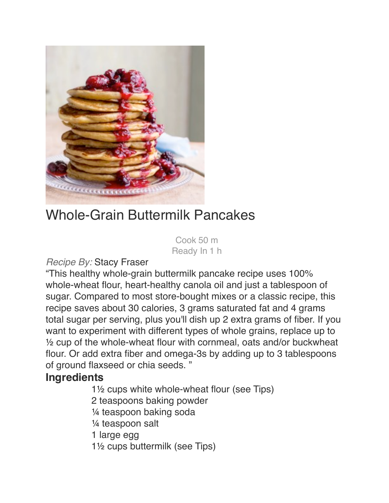

# Whole-Grain Buttermilk Pancakes

 Cook 50 m Ready In 1 h

#### *Recipe By:* Stacy Fraser

"This healthy whole-grain buttermilk pancake recipe uses 100% whole-wheat flour, heart-healthy canola oil and just a tablespoon of sugar. Compared to most store-bought mixes or a classic recipe, this recipe saves about 30 calories, 3 grams saturated fat and 4 grams total sugar per serving, plus you'll dish up 2 extra grams of fiber. If you want to experiment with different types of whole grains, replace up to ½ cup of the whole-wheat flour with cornmeal, oats and/or buckwheat flour. Or add extra fiber and omega-3s by adding up to 3 tablespoons of ground flaxseed or chia seeds. "

## **Ingredients**

 $1\frac{1}{2}$  cups white whole-wheat flour (see Tips)

2 teaspoons baking powder

 $\frac{1}{4}$  teaspoon baking soda

1/4 teaspoon salt

1 large egg

1<sup>1</sup>/<sub>2</sub> cups buttermilk (see Tips)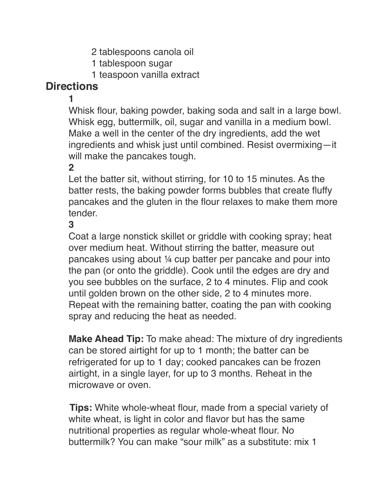- 2 tablespoons canola oil
- 1 tablespoon sugar
- 1 teaspoon vanilla extract

# **Directions**

" " **1**

Whisk flour, baking powder, baking soda and salt in a large bowl. Whisk egg, buttermilk, oil, sugar and vanilla in a medium bowl. Make a well in the center of the dry ingredients, add the wet ingredients and whisk just until combined. Resist overmixing—it will make the pancakes tough.

### $2<sup>1</sup>$

Let the batter sit, without stirring, for 10 to 15 minutes. As the batter rests, the baking powder forms bubbles that create fluffy pancakes and the gluten in the flour relaxes to make them more tender.

" " **3**

Coat a large nonstick skillet or griddle with cooking spray; heat over medium heat. Without stirring the batter, measure out pancakes using about ¼ cup batter per pancake and pour into the pan (or onto the griddle). Cook until the edges are dry and you see bubbles on the surface, 2 to 4 minutes. Flip and cook until golden brown on the other side, 2 to 4 minutes more. Repeat with the remaining batter, coating the pan with cooking spray and reducing the heat as needed.

**Make Ahead Tip:** To make ahead: The mixture of dry ingredients can be stored airtight for up to 1 month; the batter can be refrigerated for up to 1 day; cooked pancakes can be frozen airtight, in a single layer, for up to 3 months. Reheat in the microwave or oven.

 **Tips:** White whole-wheat flour, made from a special variety of white wheat, is light in color and flavor but has the same nutritional properties as regular whole-wheat flour. No buttermilk? You can make "sour milk" as a substitute: mix 1